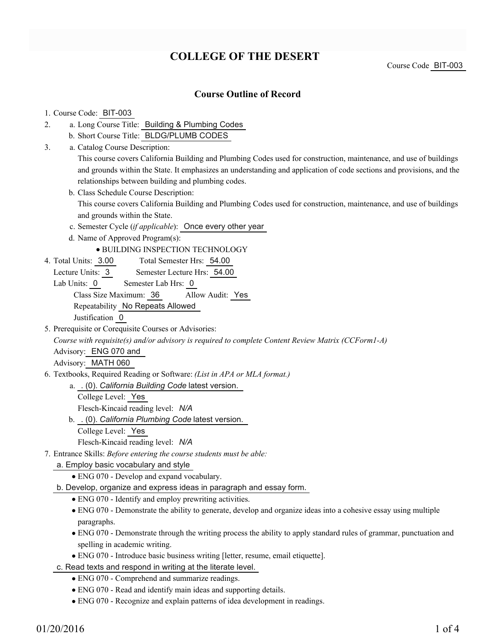# **COLLEGE OF THE DESERT**

Course Code BIT-003

## **Course Outline of Record**

### 1. Course Code: BIT-003

- a. Long Course Title: Building & Plumbing Codes 2.
	- b. Short Course Title: BLDG/PLUMB CODES
- Catalog Course Description: a. 3.

This course covers California Building and Plumbing Codes used for construction, maintenance, and use of buildings and grounds within the State. It emphasizes an understanding and application of code sections and provisions, and the relationships between building and plumbing codes.

- b. Class Schedule Course Description: This course covers California Building and Plumbing Codes used for construction, maintenance, and use of buildings and grounds within the State.
- c. Semester Cycle (*if applicable*): Once every other year
- d. Name of Approved Program(s):

### BUILDING INSPECTION TECHNOLOGY

- Total Semester Hrs: 54.00 4. Total Units: 3.00
- Lecture Units: 3 Semester Lecture Hrs: 54.00
- Lab Units: 0 Semester Lab Hrs: 0 Class Size Maximum: 36 Allow Audit: Yes Repeatability No Repeats Allowed

Justification 0

5. Prerequisite or Corequisite Courses or Advisories:

*Course with requisite(s) and/or advisory is required to complete Content Review Matrix (CCForm1-A)*

Advisory: ENG 070 and

Advisory: MATH 060

Textbooks, Required Reading or Software: *(List in APA or MLA format.)* 6.

. (0). *California Building Code* latest version. a.

- College Level: Yes Flesch-Kincaid reading level: *N/A*
- . (0). *California Plumbing Code* latest version. b.
	- College Level: Yes

Flesch-Kincaid reading level: *N/A*

Entrance Skills: *Before entering the course students must be able:* 7.

a. Employ basic vocabulary and style

ENG 070 - Develop and expand vocabulary.

b. Develop, organize and express ideas in paragraph and essay form.

- ENG 070 Identify and employ prewriting activities.
- ENG 070 Demonstrate the ability to generate, develop and organize ideas into a cohesive essay using multiple paragraphs.
- ENG 070 Demonstrate through the writing process the ability to apply standard rules of grammar, punctuation and spelling in academic writing.
- ENG 070 Introduce basic business writing [letter, resume, email etiquette].

c. Read texts and respond in writing at the literate level.

- ENG 070 Comprehend and summarize readings.
- ENG 070 Read and identify main ideas and supporting details.
- ENG 070 Recognize and explain patterns of idea development in readings.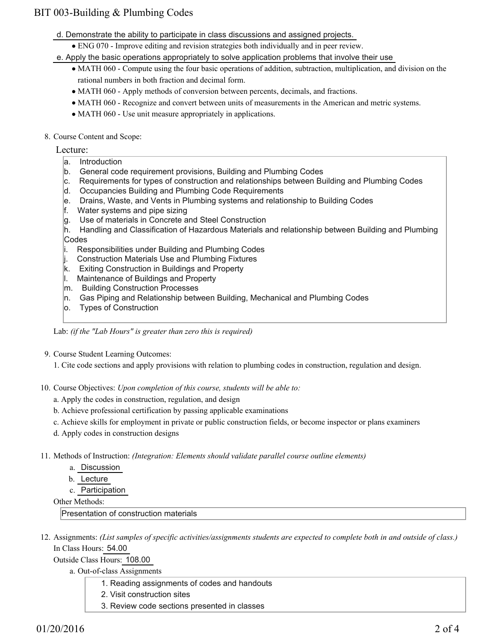## BIT 003-Building & Plumbing Codes

- d. Demonstrate the ability to participate in class discussions and assigned projects.
	- ENG 070 Improve editing and revision strategies both individually and in peer review.
- e. Apply the basic operations appropriately to solve application problems that involve their use
	- MATH 060 Compute using the four basic operations of addition, subtraction, multiplication, and division on the rational numbers in both fraction and decimal form.
	- MATH 060 Apply methods of conversion between percents, decimals, and fractions.
	- MATH 060 Recognize and convert between units of measurements in the American and metric systems.
	- MATH 060 Use unit measure appropriately in applications.
- 8. Course Content and Scope:

### Lecture:

- a. Introduction
- b. General code requirement provisions, Building and Plumbing Codes
- c. Requirements for types of construction and relationships between Building and Plumbing Codes
- d. Occupancies Building and Plumbing Code Requirements
- e. Drains, Waste, and Vents in Plumbing systems and relationship to Building Codes
- f. Water systems and pipe sizing
- g. Use of materials in Concrete and Steel Construction
- h. Handling and Classification of Hazardous Materials and relationship between Building and Plumbing Codes
- i. Responsibilities under Building and Plumbing Codes
- j. Construction Materials Use and Plumbing Fixtures
- k. Exiting Construction in Buildings and Property
- l. Maintenance of Buildings and Property
- m. Building Construction Processes
- n. Gas Piping and Relationship between Building, Mechanical and Plumbing Codes
- o. Types of Construction

Lab: *(if the "Lab Hours" is greater than zero this is required)*

9. Course Student Learning Outcomes:

1. Cite code sections and apply provisions with relation to plumbing codes in construction, regulation and design.

- 10. Course Objectives: Upon completion of this course, students will be able to:
	- a. Apply the codes in construction, regulation, and design
	- b. Achieve professional certification by passing applicable examinations
	- c. Achieve skills for employment in private or public construction fields, or become inspector or plans examiners
	- d. Apply codes in construction designs
- Methods of Instruction: *(Integration: Elements should validate parallel course outline elements)* 11.
	- a. Discussion
	- b. Lecture
	- c. Participation

Other Methods:

Presentation of construction materials

12. Assignments: (List samples of specific activities/assignments students are expected to complete both in and outside of class.) In Class Hours: 54.00

Outside Class Hours: 108.00

- a. Out-of-class Assignments
	- 1. Reading assignments of codes and handouts
	- 2. Visit construction sites
	- 3. Review code sections presented in classes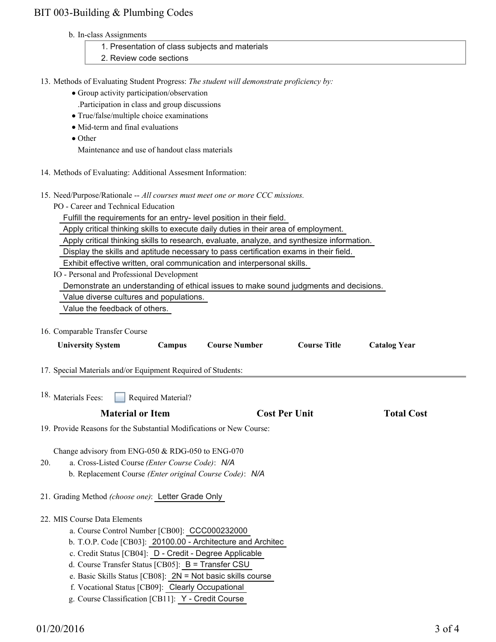## BIT 003-Building & Plumbing Codes

#### b. In-class Assignments

| 1. Presentation of class subjects and materials                                          |
|------------------------------------------------------------------------------------------|
| 2. Review code sections                                                                  |
|                                                                                          |
| 13. Methods of Evaluating Student Progress: The student will demonstrate proficiency by: |
| • Group activity participation/observation                                               |
| . Participation in class and group discussions                                           |
| $\bullet$ True/false/multiple choice examinations                                        |
| • Mid-term and final evaluations                                                         |
| $\bullet$ Other                                                                          |
| Maintenance and use of handout class materials                                           |

14. Methods of Evaluating: Additional Assesment Information:

#### 15. Need/Purpose/Rationale -- All courses must meet one or more CCC missions.

PO - Career and Technical Education

Fulfill the requirements for an entry- level position in their field.

Apply critical thinking skills to execute daily duties in their area of employment.

Apply critical thinking skills to research, evaluate, analyze, and synthesize information.

Display the skills and aptitude necessary to pass certification exams in their field.

Exhibit effective written, oral communication and interpersonal skills.

IO - Personal and Professional Development

Demonstrate an understanding of ethical issues to make sound judgments and decisions.

Value diverse cultures and populations.

Value the feedback of others.

16. Comparable Transfer Course

| <b>University System</b>                                                                                                                                                                                                                                                                                                                                                     | Campus             | <b>Course Number</b>                                        | <b>Course Title</b>  | <b>Catalog Year</b> |  |  |
|------------------------------------------------------------------------------------------------------------------------------------------------------------------------------------------------------------------------------------------------------------------------------------------------------------------------------------------------------------------------------|--------------------|-------------------------------------------------------------|----------------------|---------------------|--|--|
| 17. Special Materials and/or Equipment Required of Students:                                                                                                                                                                                                                                                                                                                 |                    |                                                             |                      |                     |  |  |
| <sup>18.</sup> Materials Fees:                                                                                                                                                                                                                                                                                                                                               | Required Material? |                                                             |                      |                     |  |  |
| <b>Material or Item</b>                                                                                                                                                                                                                                                                                                                                                      |                    |                                                             | <b>Cost Per Unit</b> | <b>Total Cost</b>   |  |  |
| 19. Provide Reasons for the Substantial Modifications or New Course:                                                                                                                                                                                                                                                                                                         |                    |                                                             |                      |                     |  |  |
| Change advisory from ENG-050 & RDG-050 to ENG-070<br>a. Cross-Listed Course (Enter Course Code): N/A<br>20.<br>b. Replacement Course (Enter original Course Code): N/A<br>21. Grading Method (choose one): Letter Grade Only                                                                                                                                                 |                    |                                                             |                      |                     |  |  |
| 22. MIS Course Data Elements<br>a. Course Control Number [CB00]: CCC000232000<br>c. Credit Status [CB04]: D - Credit - Degree Applicable<br>d. Course Transfer Status [CB05]: $B =$ Transfer CSU<br>e. Basic Skills Status [CB08]: $2N = Not basic skills course$<br>f. Vocational Status [CB09]: Clearly Occupational<br>g. Course Classification [CB11]: Y - Credit Course |                    | b. T.O.P. Code [CB03]: 20100.00 - Architecture and Architec |                      |                     |  |  |